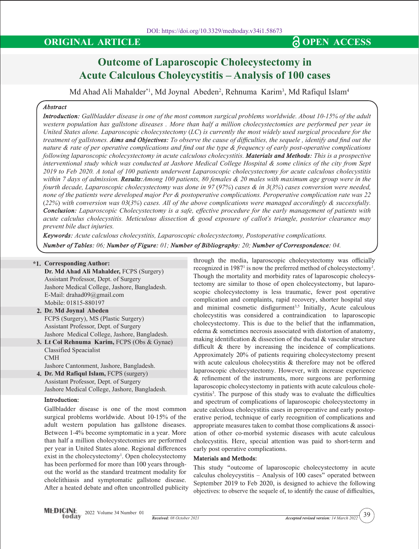## **ORIGINAL ARTICLE CONGITAL ARTICLE CONGITAL CONGITAL**

# **Outcome of Laparoscopic Cholecystectomy in Acute Calculous Choleycystitis – Analysis of 100 cases**

Md Ahad Ali Mahalder\*1, Md Joynal Abeden<sup>2</sup>, Rehnuma Karim<sup>3</sup>, Md Rafiqul Islam<sup>4</sup>

## *Abstract*

*Introduction: Gallbladder disease is one of the most common surgical problems worldwide. About 10-15% of the adult western population has gallstone diseases . More than half a million cholecystectomies are performed per year in United States alone. Laparoscopic cholecystectomy (LC) is currently the most widely used surgical procedure for the treatment of gallstones. Aims and Objectives: To observe the cause of difficulties, the sequele , identify and find out the nature & rate of per operative complications and find out the type & frequency of early post-operative complications following laparoscopic cholecystectomy in acute calculous cholecystitis. Materials and Methods: This is a prospective interventional study which was conducted at Jashore Medical College Hospital & some clinics of the city from Sept 2019 to Feb 2020. A total of 100 patients underwent Laparoscopic cholecystectomy for acute calculous cholecystitis within 7 days of admission. Results:Among 100 patients, 80 females & 20 males with maximum age group were in the fourth decade, Laparoscopic cholecystectomy was done in 97 (97%) cases & in 3(3%) cases conversion were needed, none of the patients were developed major Per & postoperative complications. Peroperative complication rate was 22 (22%) with conversion was 03(3%) cases. All of the above complications were managed accordingly & successfully. Conclusion: Laparoscopic Cholecystectomy is a safe, effective procedure for the early management of patients with acute calculus cholecystitis. Meticulous dissection & good exposure of callot's triangle, posterior clearance may prevent bile duct injuries.*

*Keywords: Acute calculous cholecystitis, Laparoscopic cholecystectomy, Postoperative complications. Number of Tables: 06; Number of Figure: 01; Number of Bibliography: 20; Number of Correspondence: 04.*

## **\*1. Corresponding Author:**

**Dr. Md Ahad Ali Mahalder,** FCPS (Surgery) Assistant Professor, Dept. of Surgery Jashore Medical College, Jashore, Bangladesh. E-Mail: drahad09@gmail.com Mobile: 01815-880197

- **2. Dr. Md Joynal Abeden**  FCPS (Surgery), MS (Plastic Surgery) Assistant Professor, Dept. of Surgery Jashore Medical College, Jashore, Bangladesh.
- **3. Lt Col Rehnuma Karim,** FCPS (Obs & Gynae) Classified Speacialist CMH
- Jashore Cantonment, Jashore, Bangladesh.
- **4. Dr. Md Rafiqul Islam,** FCPS (surgery) Assistant Professor, Dept. of Surgery Jashore Medical College, Jashore, Bangladesh.

## **Introduction:**

Gallbladder disease is one of the most common surgical problems worldwide. About 10-15% of the adult western population has gallstone diseases. Between 1-4% become symptomatic in a year. More than half a million cholecystectomies are performed per year in United States alone. Regional differences exist in the cholecystectomy<sup>1</sup>. Open cholecystectomy has been performed for more than 100 years throughout the world as the standard treatment modality for cholelithiasis and symptomatic gallstone disease. After a heated debate and often uncontrolled publicity through the media, laparoscopic cholecystectomy was officially recognized in 1987<sup>1</sup> is now the preferred method of cholecystectomy<sup>1</sup>. Though the mortality and morbidity rates of laparoscopic cholecystectomy are similar to those of open cholecystectomy, but laparoscopic cholecystectomy is less traumatic, fewer post operative complication and complaints, rapid recovery, shorter hospital stay and minimal cosmetic disfigurment<sup>3,5</sup> Initially, Acute calculous cholecystitis was considered a contraindication to laparoscopic cholecystectomy. This is due to the belief that the inflammation, edema & sometimes necrosis associated with distortion of anatomy, making identification & dissection of the ductal & vascular structure difficult & there by increasing the incidence of complications. Approximately 20% of patients requiring cholecystectomy present with acute calculous cholecystitis & therefore may not be offered laparoscopic cholecystectomy. However, with increase experience & refinement of the instruments, more surgeons are performing laparoscopic cholecystectomy in patients with acute calculous cholecystitis<sup>3</sup>. The purpose of this study was to evaluate the difficulties and spectrum of complications of laparoscopic cholecystectomy in acute calculous cholecystitis cases in peroperative and early postoperative period, technique of early recognition of complications and appropriate measures taken to combat those complications & association of other co-morbid systemic diseases with acute calculous cholecystitis. Here, special attention was paid to short-term and early post operative complications.

## **Materials and Methods:**

This study "outcome of laparoscopic cholecystectomy in acute calculus choleycystitis – Analysis of 100 cases" operated between September 2019 to Feb 2020, is designed to achieve the following objectives: to observe the sequele of, to identify the cause of difficulties,

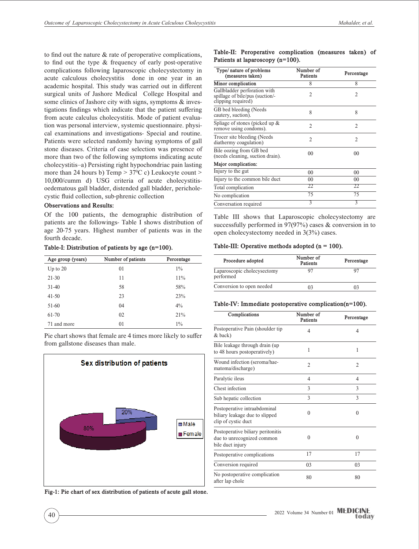to find out the nature & rate of peroperative complications, to find out the type & frequency of early post-operative complications following laparoscopic cholecystectomy in acute calculous cholecystitis done in one year in an academic hospital. This study was carried out in different surgical units of Jashore Medical College Hospital and some clinics of Jashore city with signs, symptoms & investigations findings which indicate that the patient suffering from acute calculus cholecystitis. Mode of patient evaluation was personal interview, systemic questionnaire. physical examinations and investigations- Special and routine. Patients were selected randomly having symptoms of gall stone diseases. Criteria of case selection was presence of more than two of the following symptoms indicating acute cholecystitis–a) Persisting right hypochondriac pain lasting more than 24 hours b) Temp  $> 37^{\circ}$ C c) Leukocyte count  $>$ 10,000/cumm d) USG criteria of acute cholecystitisoedematous gall bladder, distended gall bladder, pericholecystic fluid collection, sub-phrenic collection

## **Observations and Results:**

Of the 100 patients, the demographic distribution of patients are the followings- Table I shows distribution of age 20-75 years. Highest number of patients was in the fourth decade.

**Table-I: Distribution of patients by age (n=100).**

| Age group (years) | Number of patients | Percentage |
|-------------------|--------------------|------------|
| Up to $20$        | 01                 | $1\%$      |
| $21 - 30$         | 11                 | 11%        |
| $31-40$           | 58                 | 58%        |
| $41-50$           | 23                 | 23%        |
| 51-60             | 04                 | $4\%$      |
| 61-70             | 02                 | 21%        |
| 71 and more       | 01                 | $1\%$      |

Pie chart shows that female are 4 times more likely to suffer from gallstone diseases than male.



**Fig-1: Pie chart of sex distribution of patients of acute gall stone.** 

**Table-II: Peroperative complication (measures taken) of Patients at laparoscopy (n=100).**

| Type/ nature of problems<br>(measures taken)                                          | Number of<br>Patients | Percentage     |  |
|---------------------------------------------------------------------------------------|-----------------------|----------------|--|
| Minor complication                                                                    | 8                     | 8              |  |
| Gallbladder perforation with<br>spillage of bile/pus (suction/-<br>clipping required) | 2                     | 2              |  |
| GB bed bleeding (Needs<br>cautery, suction).                                          | 8                     | 8              |  |
| Spliage of stones (picked up &<br>remove using condoms).                              | $\mathfrak{D}$        | $\mathfrak{D}$ |  |
| Trocer site bleeding (Needs<br>diathermy coagulation)                                 | $\mathfrak{D}$        | $\mathfrak{D}$ |  |
| Bile oozing from GB bed<br>(needs cleaning, suction drain).                           | 0 <sup>0</sup>        | 00             |  |
| Major complication:                                                                   |                       |                |  |
| Injury to the gut                                                                     | 00                    | 00             |  |
| Injury to the common bile duct                                                        | 00                    | 0 <sup>0</sup> |  |
| Total complication                                                                    | 22                    | 22             |  |
| No complication                                                                       | 75                    | 75             |  |
| Conversation required                                                                 | 3                     | 3              |  |

Table III shows that Laparoscopic cholecystectomy are successfully performed in 97(97%) cases & conversion in to open cholecystectomy needed in 3(3%) cases.

#### **Table-III: Operative methods adopted (n = 100).**

| Procedure adopted                        | Number of<br><b>Patients</b> | Percentage |  |
|------------------------------------------|------------------------------|------------|--|
| Laparoscopic cholecysectomy<br>performed |                              |            |  |
| Conversion to open needed                |                              |            |  |

#### **Table-IV: Immediate postoperative complication(n=100).**

| Complications                                                                         | Number of<br>Patients | Percentage |  |
|---------------------------------------------------------------------------------------|-----------------------|------------|--|
| Postoperative Pain (shoulder tip)<br>& back)                                          | 4                     | 4          |  |
| Bile leakage through drain (up)<br>to 48 hours postoperatively)                       | 1                     | 1          |  |
| Wound infection (seroma/hae-<br>matoma/discharge)                                     | $\overline{c}$        | 2          |  |
| Paralytic ileus                                                                       | 4                     | 4          |  |
| Chest infection                                                                       | 3                     | 3          |  |
| Sub hepatic collection                                                                | 3                     | 3          |  |
| Postoperative intraabdominal<br>biliary leakage due to slipped<br>clip of cystic duct | $\theta$              | $\theta$   |  |
| Postoperative biliary peritonitis<br>due to unrecognized common<br>bile duct injury   | $\Omega$              | 0          |  |
| Postoperative complications                                                           | 17                    | 17         |  |
| Conversion required                                                                   | 0 <sub>3</sub>        | 03         |  |
| No postoperative complication<br>after lap chole                                      | 80                    | 80         |  |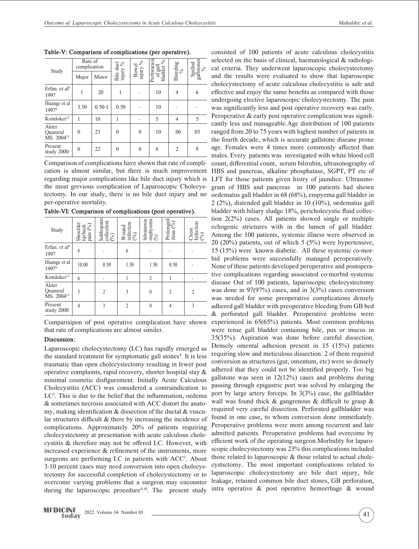| Study                                      | Rate of<br>complication |            |                       | Bowel<br>injury $\%$ | erioration<br>$\%$ | Bleeding<br>$\%$ | $\begin{array}{c} \text{Spilled} \\ \text{galistones} \\ \text{\%} \end{array}$ |
|--------------------------------------------|-------------------------|------------|-----------------------|----------------------|--------------------|------------------|---------------------------------------------------------------------------------|
|                                            | Major                   | Minor      | Bile duct injury $\%$ |                      | of gall<br>bladder |                  |                                                                                 |
| Erfan, et al $8$<br>1997                   |                         | 20         |                       |                      | 10                 | 4                | 6                                                                               |
| Huange et al<br>19979                      | 3.50                    | $0.50 - 1$ | 0.50                  |                      | 10                 |                  |                                                                                 |
| Kondoker <sup>11</sup>                     | 1                       | 10         | 1                     |                      | 5                  | $\overline{4}$   | 5                                                                               |
| Akter<br>Quamrul<br>MS. 2004 <sup>15</sup> | $\theta$                | 23         | $\theta$              | $\theta$             | 10                 | 06               | 05                                                                              |
| Present<br>study 2000                      | $\mathbf{0}$            | 22         | $\theta$              | $\theta$             | 8                  | $\overline{2}$   | 8                                                                               |

**Table-V: Comparison of complications (per operative).**

Comparison of complications have shown that rate of complication is almost similar, but there is much improvement regarding major complications like bile duct injury which is the most grevious complication of Laparoscopic Cholecystectomy. In our study, there is no bile duct injury and no per-operative mortality.

**Table-VI: Comparison of complications (post operative).**

| Study                                      | ${\bf Shoulder} \\ {\bf tip}/\bf back \\ {\bf pain} \; ( \% ) \\$ | $\begin{array}{l} \mbox{Subhepatic}\\ \mbox{collection}\\ \hbox{(\%)} \end{array}$ | $\begin{array}{c} \text{Wound} \\ \text{infection} \\ (\%) \end{array}$ | Subcutaneous<br>emphysema $\genfrac{(}{)}{0pt}{}{\binom{9}{3}}$ | Prolonged<br>ileus $\binom{9}{0}$ | Chest<br>Infection<br>(%) |
|--------------------------------------------|-------------------------------------------------------------------|------------------------------------------------------------------------------------|-------------------------------------------------------------------------|-----------------------------------------------------------------|-----------------------------------|---------------------------|
| Erfan. et al <sup>8</sup><br>1997          | 8                                                                 |                                                                                    | 6                                                                       |                                                                 |                                   |                           |
| Huange et al<br>19979                      | 10.00                                                             | 0.50                                                                               | 1.50                                                                    | 1.50                                                            | 0.50                              |                           |
| Kondoker <sup>11</sup>                     | 6                                                                 |                                                                                    |                                                                         | $\overline{c}$                                                  |                                   |                           |
| Akter<br>Quamrul<br>MS. 2004 <sup>15</sup> | 5                                                                 | $\overline{c}$                                                                     | 3                                                                       | $\theta$                                                        | $\mathfrak{D}$                    | $\mathfrak{D}$            |
| Present<br>study 2000                      | $\overline{4}$                                                    | $\mathcal{E}$                                                                      | $\overline{2}$                                                          | $\theta$                                                        | 4                                 | 3                         |

Comparisipon of post operative complication have shown that rate of complications are almost similer.

## **Discussion:**

Laparoscopic cholecystectomy (LC) has rapidly emerged as the standard treatment for symptomatic gall stones<sup>4</sup>. It is less traumatic than open cholecystectomy resulting in fewer post operative complaints, rapid recovery, shorter hospital stay & minimal cosmetic disfigurement. Initially Acute Calculous Cholecystitis (ACC) was considered a contraindication to  $LC<sup>3</sup>$ . This is due to the belief that the inflammation, oedema & sometimes necrosis associated with ACC distort the anatomy, making identification & dissection of the ductal & vuscular structures difficult & there by increasing the incidence of complications. Approximately 20% of patients requiring cholecystectomy at presentation with acute calculous cholecystitis & therefore may not be offered LC. However, with increased experience & refinement of the instruments, more surgeons are performing LC in patients with ACC<sup>3</sup>. About 3-10 percent cases may need conversion into open cholecystectomy for successful completion of cholecystectomy or to overcome varying problems that a surgeon may encounter during the laparoscopic procedure<sup>9,10</sup>. The present study

consisted of 100 patients of acute calculous cholecystitis selected on the basis of clinical, haematological & radiological criteria. They underwent laparoscopic cholecystectomy and the results were evaluated to show that laparoscopic cholecystectomy of acute calculous cholecystitis is safe and effective and enjoy the same benefits as compared with those undergoing elective laparoscopic cholecystectomy. The pain was significantly less and post operative recovery was early. Peroperative & early post operative complication was significantly less and manageable.Age distribution of 100 patients ranged from 20 to 75 years with highest number of patients in the fourth decade, which is accurate gallstone disease prone age. Females were 4 times more commonly affected than males. Every patients was investigated with white blood cell count, differential count, serum bilirubin, ultrasonography of HBS and pancreas, alkaline phosphatase, SGPT, PT etc of LFT for those patients given histry of jaundice. Ultrasonogram of HBS and pancreas in 100 patients had shown oedematus gall bladder in 68 (68%), empyema gall bladder in 2 (2%), distended gall bladder in 10 (10%), oedematus gall bladder with biliary sludge 18%, pericholecystic fluid collection 2(2%) cases. All patients showed single or multiple echogenic strictures with in the lumen of gall bladder. Among the 100 patients, systemic illness were observed in 20 (20%) patients, out of which 5 (5%) were hypertensive, 15 (15%) were known diabetic. All these systemic co-morbid problems were successfully managed peroperatively. None of these patients developed peroperative and postoperative complications regarding associated co-morbid systemic disease Out of 100 patients, laparoscopic cholecystectomy was done in 97(97%) cases, and in 3(3%) cases conversion was needed for some preoperative complications densely adhered gall bladder with preoperative bleeding from GB bed & perforated gall bladder. Peroperative problems were experienced in 65(65%) patients. Most common problems were tense gall bladder containing bile, pus or mucus in 35(35%). Aspiration was done before careful dissection. Densely omental adhesion present in 15 (15%) patients requiring slow and meticulous dissection. 2 of them required conversion as structures (gut, omentum, etc) were so densely adhered that they could not be identified properly. Too big gallstone was seen in 12(12%) cases and problems during passing through epigastric port was solved by enlarging the port by large artery forceps. In 3(3%) case, the gallbladder wall was found thick & gangrenous & difficult to grasp & required very careful dissection. Perforated gallbladder was found in one case, to whom conversion done immediately. Peroperative problems were more among recurrent and late admitted patients. Peroperative problems had overcome by efficient work of the operating surgeon.Morbidity for laparoscopic cholecystectomy was 23% this complications included those related to laparoscopic & those related to actual cholecystsctomy. The most important complications related to laparoscopic cholecystectomy are bile duct injury, bile leakage, retained common bile duct stones, GB perforation, intra operative & post operative hemorrhage & wound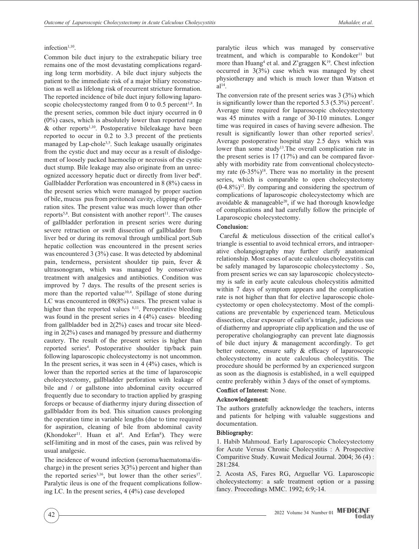## infection<sup>1,10</sup>.

Common bile duct injury to the extrahepatic biliary tree remains one of the most devastating complications regarding long term morbidity. A bile duct injury subjects the patient to the immediate risk of a major biliary reconstruction as well as lifelong risk of recurrent stricture formation. The reported incidence of bile duct injury following laparoscopic cholecystectomy ranged from 0 to 0.5 percent<sup>1,8</sup>. In the present series, common bile duct injury occurred in 0 (0%) cases, which is absolutely lower than reported range & other reports1,10. Postoperative bileleakage have been reported to occur in 0.2 to 3.3 precent of the pretients managed by Lap-chole<sup>3,5</sup>. Such leakage usaually originates from the cystic duct and may occur as a result of dislodgement of loosely packed haemoclip or necrosis of the cystic duct stump. Bile leakage may also originate from an unrecognized accessory hepatic duct or directly from liver bed<sup>6</sup>. Gallbladder Perforation was encountered in 8 (8%) caess in the present series which were managed by proper suction of bile, mucus pus from peritoneal cavity, clipping of perforation sites. The present value was much lower than other reports<sup>5,8</sup>. But consistent with another report<sup>11</sup>. The causes of gallbladder perforation in present series were during severe retraction or swift dissection of gallbladder from liver bed or during its removal through umbilical port.Sub hepatic collection was encountered in the present series was encountered 3 (3%) case. It was detected by abdominal pain, tenderness, persistent shoulder tip pain, fever & ultrasonogram, which was managed by conservative treatment with analgesics and antibiotics. Condition was improved by 7 days. The results of the present series is more than the reported value<sup>10,4</sup>. Spillage of stone during LC was encountered in 08(8%) cases. The present value is higher than the reported values <sup>8,11</sup>. Peroperative bleeding was found in the present series in 4 (4%) cases- bleeding from gallbladder bed in 2(2%) cases and trocar site bleeding in 2(2%) cases and managed by pressure and diathermy cautery. The result of the present series is higher than reported series4 . Postoperative shoulder tip/back pain following laparoscopic cholecystectomy is not uncommon. In the present series, it was seen in  $4(4%)$  cases, which is lower than the reported series at the time of laparoscopic cholecystectomy, gallbladder perforation with leakage of bile and / or gallstone into abdominal cavity occurred frequently due to secondary to traction applied by grasping forceps or because of diathermy injury during dissection of gallbladder from its bed. This situation causes prolonging the operation time in variable lengths (due to time required for aspiration, cleaning of bile from abdominal cavity  $(Khondoker<sup>11</sup>$ . Huan et al<sup>4</sup>. And Erfan<sup>8</sup>). They were self-limiting and in most of the cases, pain was relived by usual analgesic.

The incidence of wound infection (seroma/haematoma/discharge) in the present series 3(3%) percent and higher than the reported series<sup>3,16</sup>, but lower than the other series<sup>17</sup>. Paralytic ileus is one of the frequent complications following LC. In the present series, 4 (4%) case developed

paralytic ileus which was managed by conservative treatment, and which is comparable to Kondoker<sup>11</sup> but more than  $Huang<sup>4</sup>$  et al. and Z'graggen  $K<sup>19</sup>$ . Chest infection occurred in 3(3%) case which was managed by chest physiotherapy and which is much lower than Watson et  $al<sup>14</sup>$ .

The conversion rate of the present series was 3 (3%) which is significantly lower than the reported  $5.3$  (5.3%) percent<sup>7</sup>. Average time required for laparoscopic cholecystectomy was 45 minutes with a range of 30-110 minutes. Longer time was required in cases of having severe adhesion. The result is significantly lower than other reported series<sup>2</sup>. Average postoperative hospital stay 2.5 days which was lower than some study<sup>13</sup>. The overall complication rate in the present series is 17 (17%) and can be compared favorably with morbidity rate from conventional cholecystectomy rate  $(6-35\%)^{18}$ . There was no mortality in the present series, which is comparable to open cholecystectomy  $(0-4.8\%)$ <sup>12</sup>. By comparing and considering the spectrum of complications of laparoscopic cholecystectomy which are avoidable  $\&$  manageable<sup>20</sup>, if we had thorough knowledge of complications and had carefully follow the principle of Laparoscopic cholecystectomy.

#### **Conclusion:**

 Careful & meticulous dissection of the critical callot's triangle is essential to avoid technical errors, and intraoperative cholangiography may further clarify anatomical relationship. Most cases of acute calculous cholecystitis can be safely managed by laparoscopic cholecystectomy . So, from present series we can say laparoscopic cholecystectomy is safe in early acute calculous cholecystitis admitted within 7 days of symptom appears and the complication rate is not higher than that for elective laparoscopic cholecystectomy or open cholecystectomy. Most of the complications are preventable by experienced team. Meticulous dissection, clear exposure of callot's triangle, judicious use of diathermy and appropriate clip application and the use of peroperative cholangiography can prevent late diagnossis of bile duct injury & management accordingly. To get better outcome, ensure safty & efficacy of laparoscopic cholecystectomy in acute calculous cholecystitis. The procedure should be performed by an experienced surgeon as soon as the diagnosis is established, in a well equipped centre preferably within 3 days of the onset of symptoms.

#### **Conflict of Interest:** None.

## **Acknowledgement:**

The authors gratefully acknowledge the teachers, interns and patients for helping with valuable suggestions and documentation.

#### **Bibliography:**

1. Habib Mahmoud. Early Laparoscopic Cholecystectomy for Acute Versus Chronic Cholecystitis : A Prospective Comparitive Study. Kuwait Medical Journal. 2004; 36 (4) : 281:284.

2. Acosta AS, Fares RG, Arguellar VG. Laparoscopic cholecystectomy: a safe treatment option or a passing fancy. Proceedings MMC. 1992; 6:9;-14.